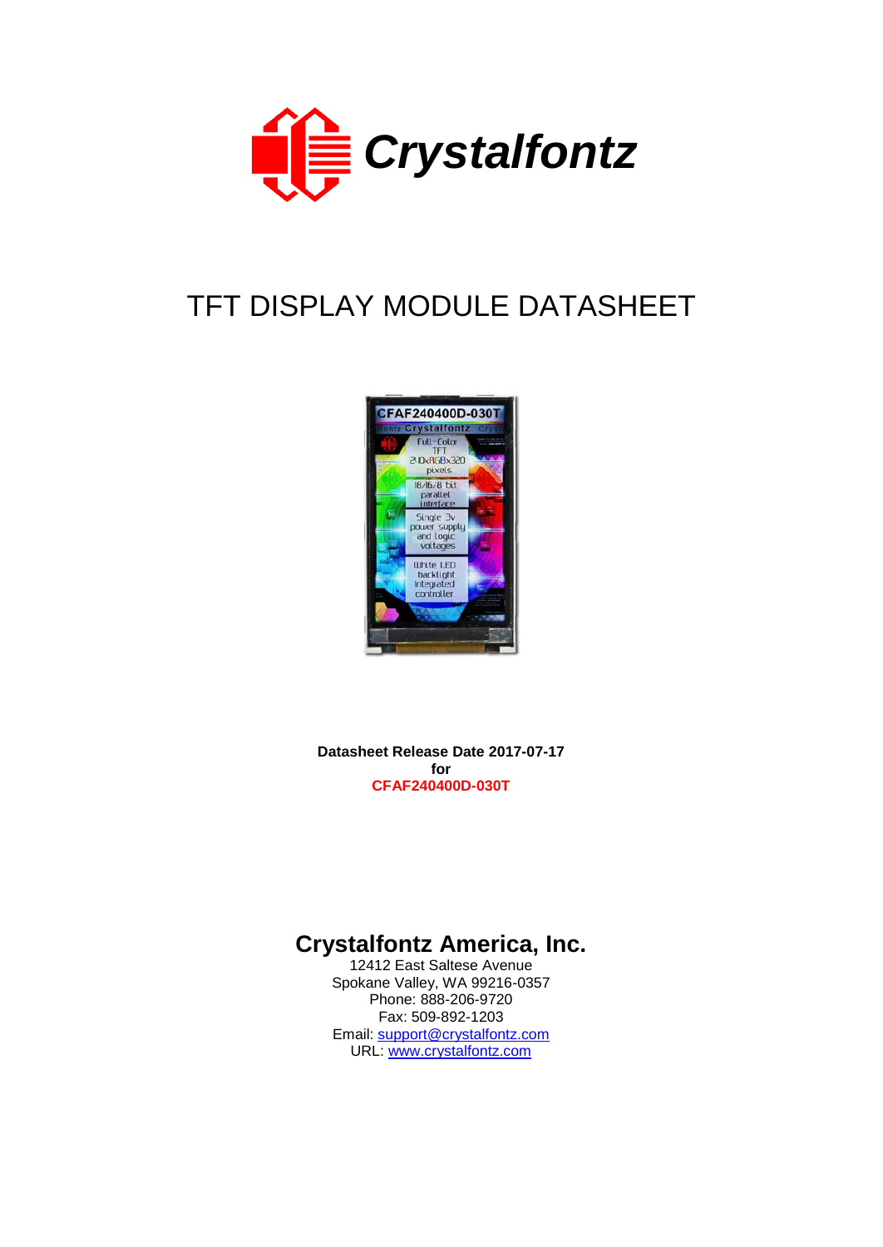

# TFT DISPLAY MODULE DATASHEET



**Datasheet Release Date 2017-07-17 for CFAF240400D-030T**

# **Crystalfontz America, Inc.**

12412 East Saltese Avenue Spokane Valley, WA 99216-0357 Phone: 888-206-9720 Fax: 509-892-1203 Email: [support@crystalfontz.com](mailto:support@crystalfontz.com) URL: [www.crystalfontz.com](http://www.crystalfontz.com/)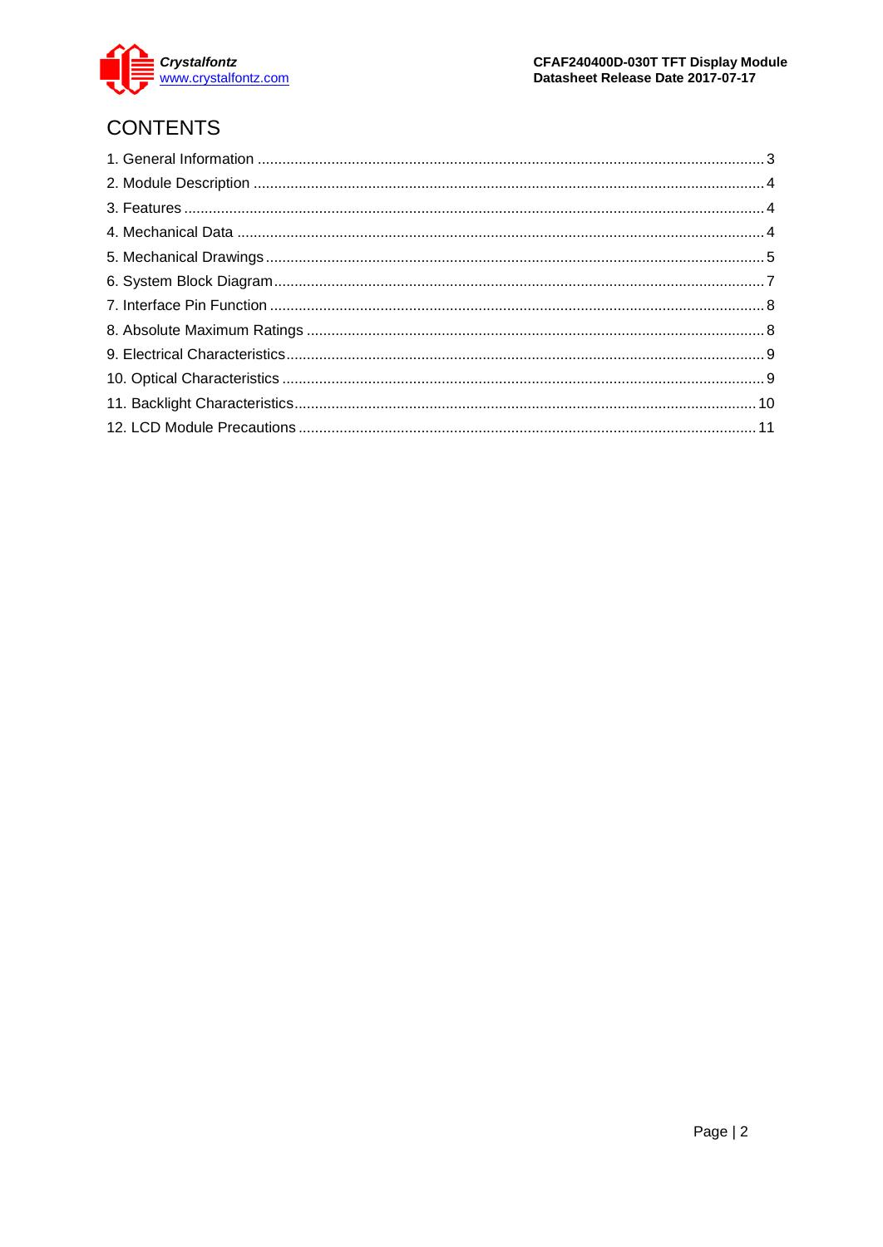

# **CONTENTS**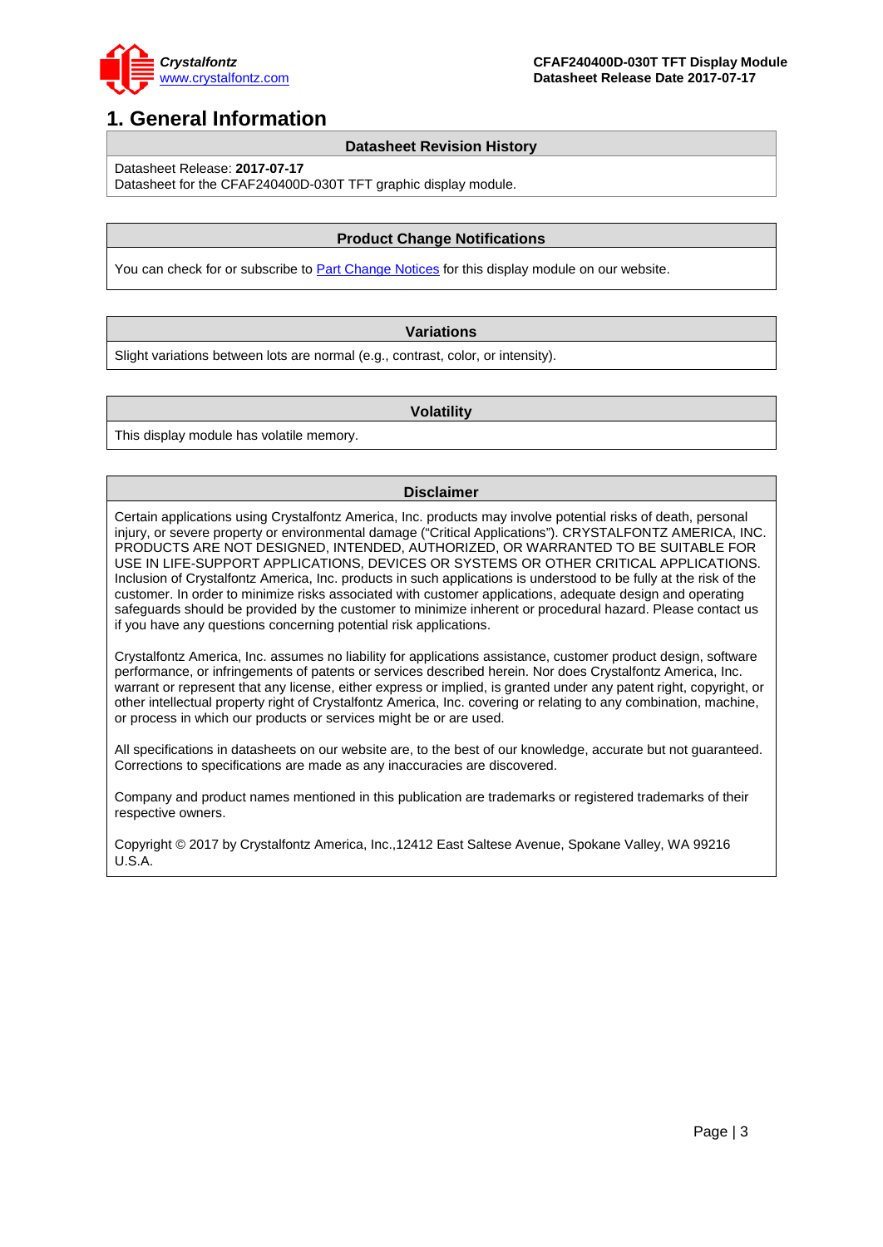

### <span id="page-2-0"></span>**1. General Information**

#### **Datasheet Revision History**

Datasheet Release: **2017-07-17**

Datasheet for the CFAF240400D-030T TFT graphic display module.

#### **Product Change Notifications**

You can check for or subscribe t[o Part Change Notices](https://www.crystalfontz.com/product/cfaf240400d030t-display-module-tft-lcd-240x400-graphical#notes) for this display module on our website.

#### **Variations**

Slight variations between lots are normal (e.g., contrast, color, or intensity).

#### **Volatility**

This display module has volatile memory.

#### **Disclaimer**

Certain applications using Crystalfontz America, Inc. products may involve potential risks of death, personal injury, or severe property or environmental damage ("Critical Applications"). CRYSTALFONTZ AMERICA, INC. PRODUCTS ARE NOT DESIGNED, INTENDED, AUTHORIZED, OR WARRANTED TO BE SUITABLE FOR USE IN LIFE-SUPPORT APPLICATIONS, DEVICES OR SYSTEMS OR OTHER CRITICAL APPLICATIONS. Inclusion of Crystalfontz America, Inc. products in such applications is understood to be fully at the risk of the customer. In order to minimize risks associated with customer applications, adequate design and operating safeguards should be provided by the customer to minimize inherent or procedural hazard. Please contact us if you have any questions concerning potential risk applications.

Crystalfontz America, Inc. assumes no liability for applications assistance, customer product design, software performance, or infringements of patents or services described herein. Nor does Crystalfontz America, Inc. warrant or represent that any license, either express or implied, is granted under any patent right, copyright, or other intellectual property right of Crystalfontz America, Inc. covering or relating to any combination, machine, or process in which our products or services might be or are used.

All specifications in datasheets on our website are, to the best of our knowledge, accurate but not guaranteed. Corrections to specifications are made as any inaccuracies are discovered.

Company and product names mentioned in this publication are trademarks or registered trademarks of their respective owners.

Copyright © 2017 by Crystalfontz America, Inc.,12412 East Saltese Avenue, Spokane Valley, WA 99216 U.S.A.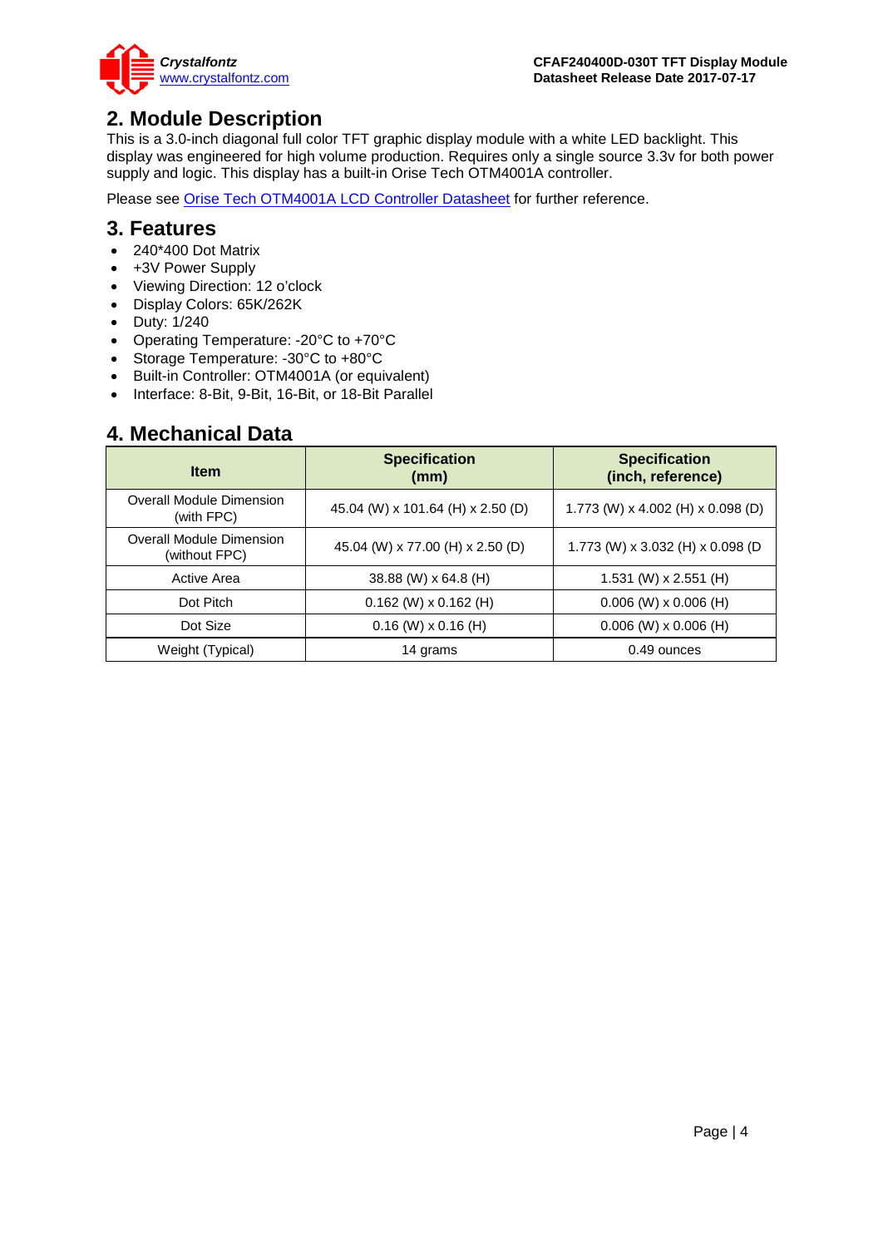

### <span id="page-3-0"></span>**2. Module Description**

This is a 3.0-inch diagonal full color TFT graphic display module with a white LED backlight. This display was engineered for high volume production. Requires only a single source 3.3v for both power supply and logic. This display has a built-in Orise Tech OTM4001A controller.

Please see [Orise Tech OTM4001A LCD Controller Datasheet](https://www.crystalfontz.com/controllers/Orise%20Tech/OTM4001A/) for further reference.

### <span id="page-3-1"></span>**3. Features**

- 240\*400 Dot Matrix
- +3V Power Supply
- Viewing Direction: 12 o'clock
- Display Colors: 65K/262K
- Duty: 1/240
- Operating Temperature: -20°C to +70°C
- Storage Temperature: -30°C to +80°C
- Built-in Controller: OTM4001A (or equivalent)
- Interface: 8-Bit, 9-Bit, 16-Bit, or 18-Bit Parallel

### <span id="page-3-2"></span>**4. Mechanical Data**

| <b>Item</b>                                      | <b>Specification</b><br>(mm)      | <b>Specification</b><br>(inch, reference) |
|--------------------------------------------------|-----------------------------------|-------------------------------------------|
| <b>Overall Module Dimension</b><br>(with FPC)    | 45.04 (W) x 101.64 (H) x 2.50 (D) | 1.773 (W) x 4.002 (H) x 0.098 (D)         |
| <b>Overall Module Dimension</b><br>(without FPC) | 45.04 (W) x 77.00 (H) x 2.50 (D)  | 1.773 (W) x 3.032 (H) x 0.098 (D          |
| Active Area                                      | 38.88 (W) x 64.8 (H)              | 1.531 (W) $\times$ 2.551 (H)              |
| Dot Pitch                                        | $0.162$ (W) x $0.162$ (H)         | $0.006$ (W) x 0.006 (H)                   |
| Dot Size                                         | $0.16$ (W) $\times$ 0.16 (H)      | $0.006$ (W) x 0.006 (H)                   |
| Weight (Typical)                                 | 14 grams                          | 0.49 ounces                               |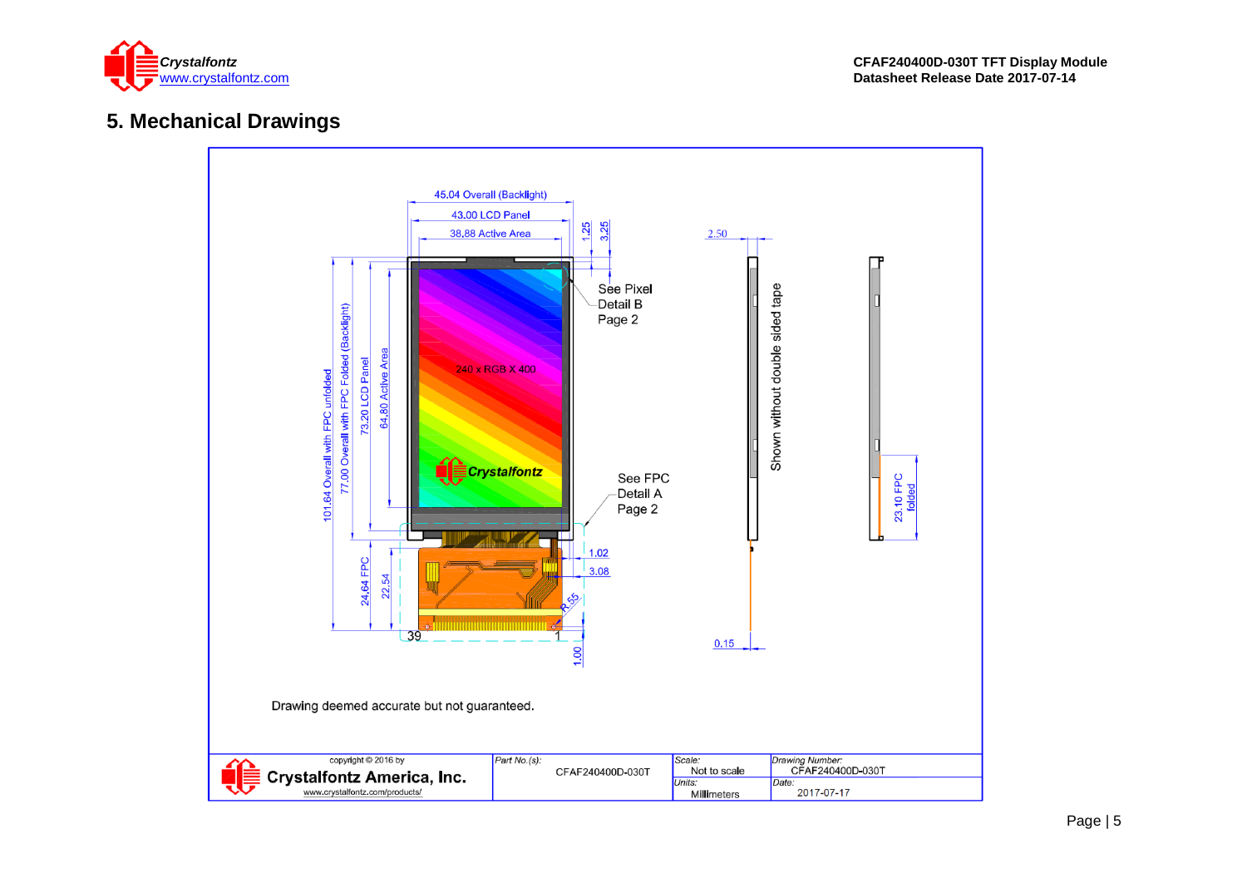

### **5. Mechanical Drawings**

<span id="page-4-0"></span>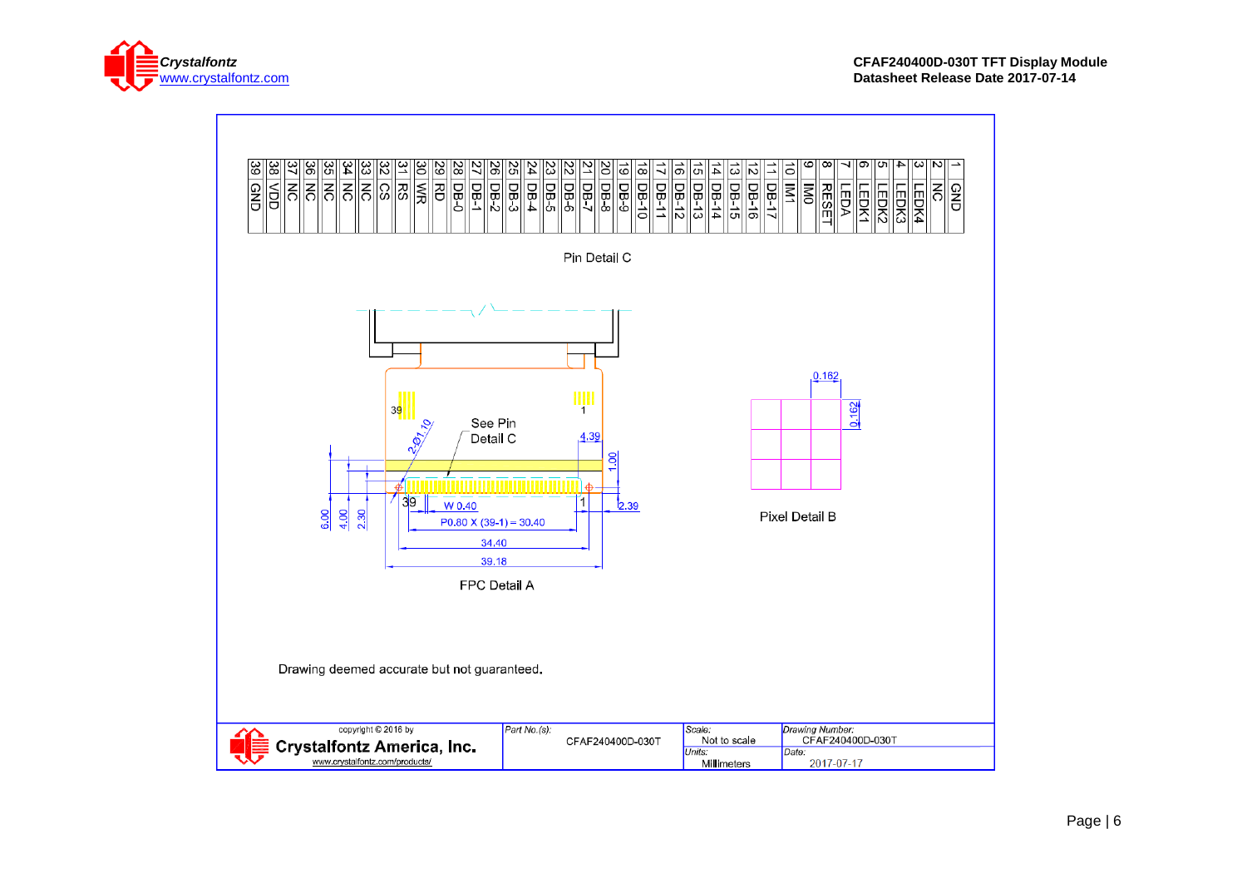

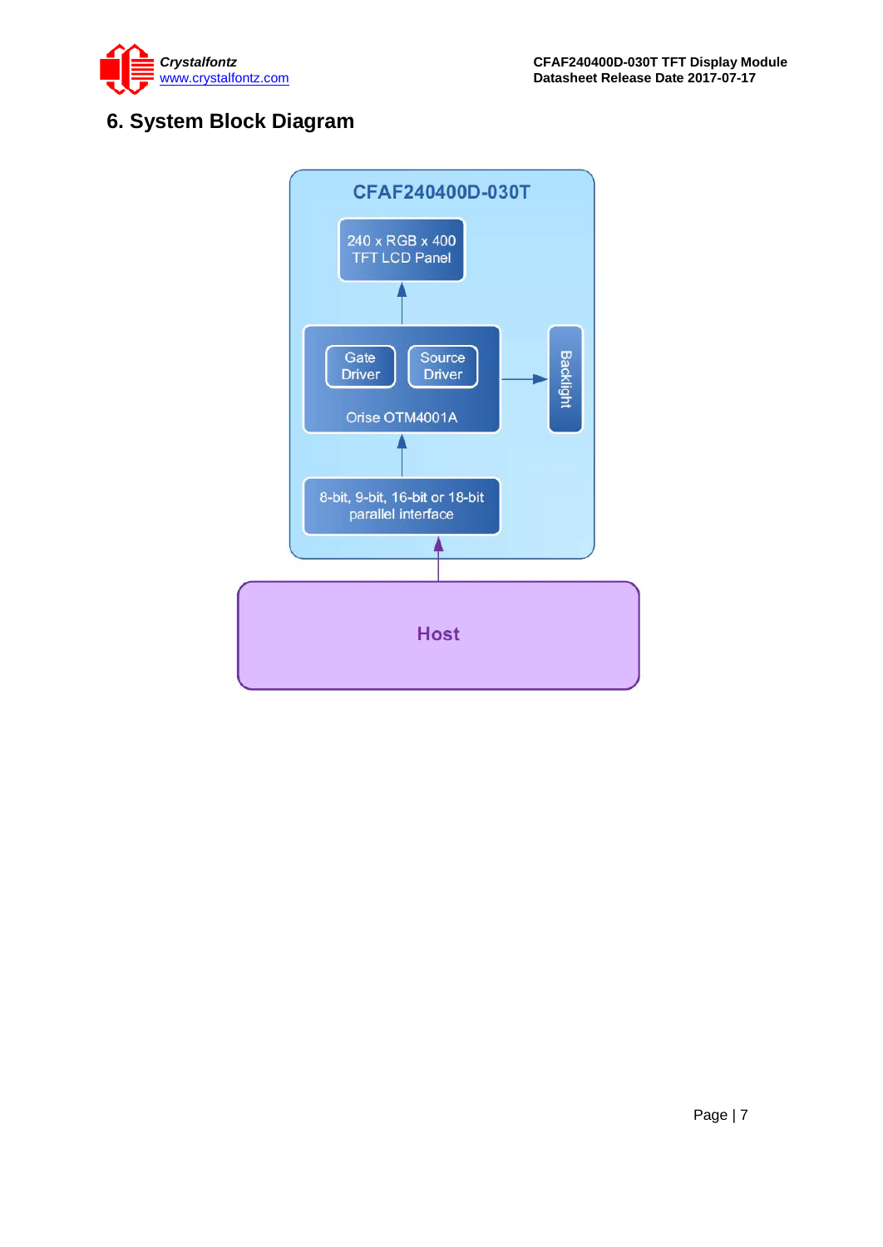



### <span id="page-6-0"></span>**6. System Block Diagram**

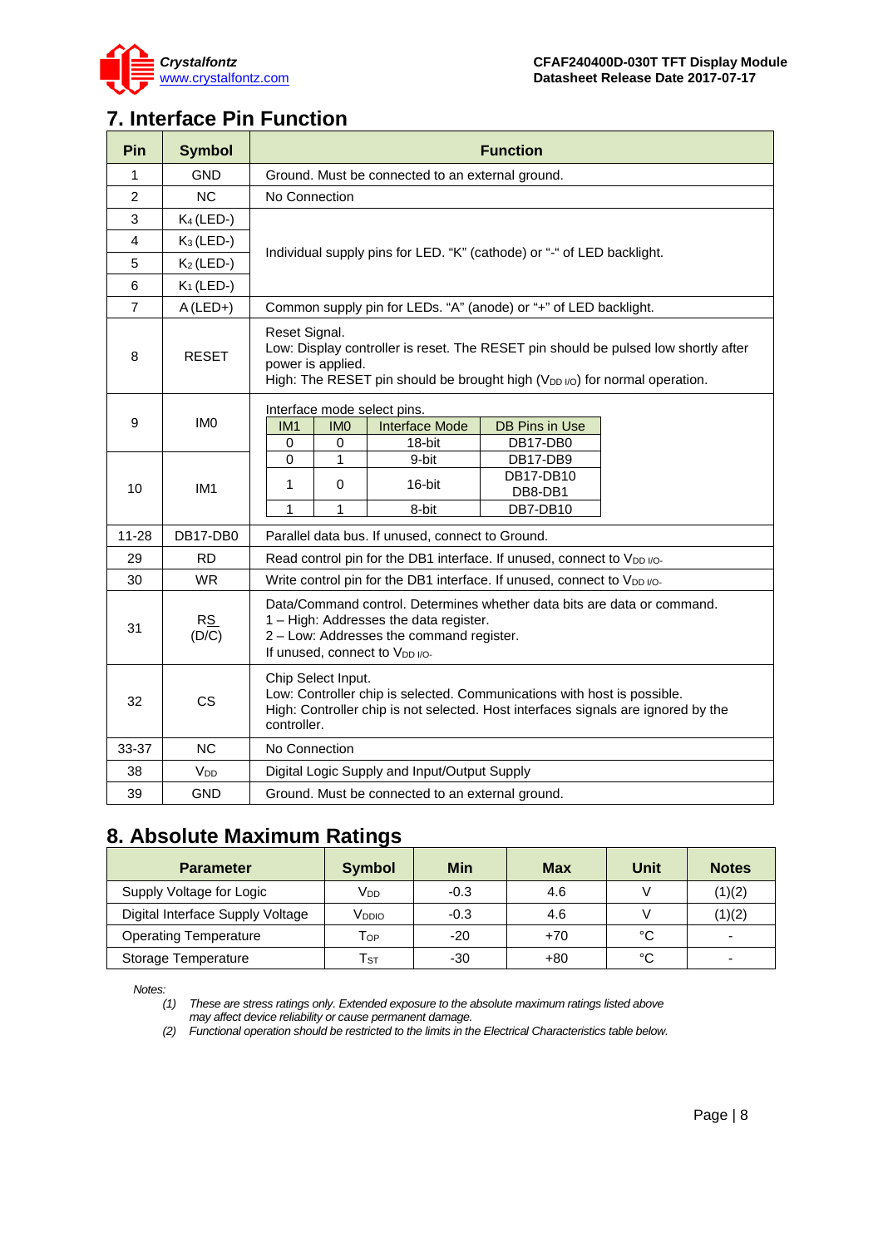

### <span id="page-7-0"></span>**7. Interface Pin Function**

| Pin            | <b>Symbol</b>   | <b>Function</b>                                                                                                                                                                                                     |  |  |  |  |  |
|----------------|-----------------|---------------------------------------------------------------------------------------------------------------------------------------------------------------------------------------------------------------------|--|--|--|--|--|
| 1              | GND             | Ground. Must be connected to an external ground.                                                                                                                                                                    |  |  |  |  |  |
| $\overline{2}$ | <b>NC</b>       | No Connection                                                                                                                                                                                                       |  |  |  |  |  |
| 3              | $K_4$ (LED-)    | Individual supply pins for LED. "K" (cathode) or "-" of LED backlight.                                                                                                                                              |  |  |  |  |  |
| 4              | $K_3$ (LED-)    |                                                                                                                                                                                                                     |  |  |  |  |  |
| 5              | $K_2$ (LED-)    |                                                                                                                                                                                                                     |  |  |  |  |  |
| 6              | $K_1$ (LED-)    |                                                                                                                                                                                                                     |  |  |  |  |  |
| $\overline{7}$ | $A$ (LED+)      | Common supply pin for LEDs. "A" (anode) or "+" of LED backlight.                                                                                                                                                    |  |  |  |  |  |
| 8              | <b>RESET</b>    | Reset Signal.<br>Low: Display controller is reset. The RESET pin should be pulsed low shortly after<br>power is applied.<br>High: The RESET pin should be brought high (V <sub>DD I/O</sub> ) for normal operation. |  |  |  |  |  |
| 9              | IM <sub>0</sub> | Interface mode select pins.<br><b>Interface Mode</b><br>IM <sub>1</sub><br><b>IMO</b><br>DB Pins in Use<br>DB17-DB0<br>0<br>0<br>18-bit                                                                             |  |  |  |  |  |
| 10             | IM <sub>1</sub> | 0<br>1<br>9-bit<br>DB17-DB9<br>DB17-DB10<br>16-bit<br>1<br>$\Omega$<br>DB8-DB1<br>$\mathbf{1}$<br>1<br>8-bit<br>DB7-DB10                                                                                            |  |  |  |  |  |
| $11 - 28$      | DB17-DB0        | Parallel data bus. If unused, connect to Ground.                                                                                                                                                                    |  |  |  |  |  |
| 29             | <b>RD</b>       | Read control pin for the DB1 interface. If unused, connect to V <sub>DD I/O</sub> .                                                                                                                                 |  |  |  |  |  |
| 30             | <b>WR</b>       | Write control pin for the DB1 interface. If unused, connect to V <sub>DD I/O</sub> .                                                                                                                                |  |  |  |  |  |
| 31             | RS<br>(D/C)     | Data/Command control. Determines whether data bits are data or command.<br>1 - High: Addresses the data register.<br>2 - Low: Addresses the command register.<br>If unused, connect to V <sub>DD I/O-</sub>         |  |  |  |  |  |
| 32             | <b>CS</b>       | Chip Select Input.<br>Low: Controller chip is selected. Communications with host is possible.<br>High: Controller chip is not selected. Host interfaces signals are ignored by the<br>controller.                   |  |  |  |  |  |
| 33-37          | <b>NC</b>       | No Connection                                                                                                                                                                                                       |  |  |  |  |  |
| 38             | V <sub>DD</sub> | Digital Logic Supply and Input/Output Supply                                                                                                                                                                        |  |  |  |  |  |
| 39             | <b>GND</b>      | Ground. Must be connected to an external ground.                                                                                                                                                                    |  |  |  |  |  |

### <span id="page-7-1"></span>**8. Absolute Maximum Ratings**

| <b>Parameter</b>                 | <b>Symbol</b>              | <b>Min</b> | Max   | Unit | <b>Notes</b>             |
|----------------------------------|----------------------------|------------|-------|------|--------------------------|
| Supply Voltage for Logic         | V <sub>DD</sub>            | $-0.3$     | 4.6   |      | (1)(2)                   |
| Digital Interface Supply Voltage | V <sub>DDIO</sub>          | $-0.3$     | 4.6   |      | (1)(2)                   |
| <b>Operating Temperature</b>     | Тор                        | $-20$      | $+70$ | °C   | $\overline{\phantom{a}}$ |
| Storage Temperature              | $\mathsf{T}_{\texttt{ST}}$ | $-30$      | $+80$ | °C   |                          |

*Notes:*

*(1) These are stress ratings only. Extended exposure to the absolute maximum ratings listed above may affect device reliability or cause permanent damage.* 

*(2) Functional operation should be restricted to the limits in the Electrical Characteristics table below.*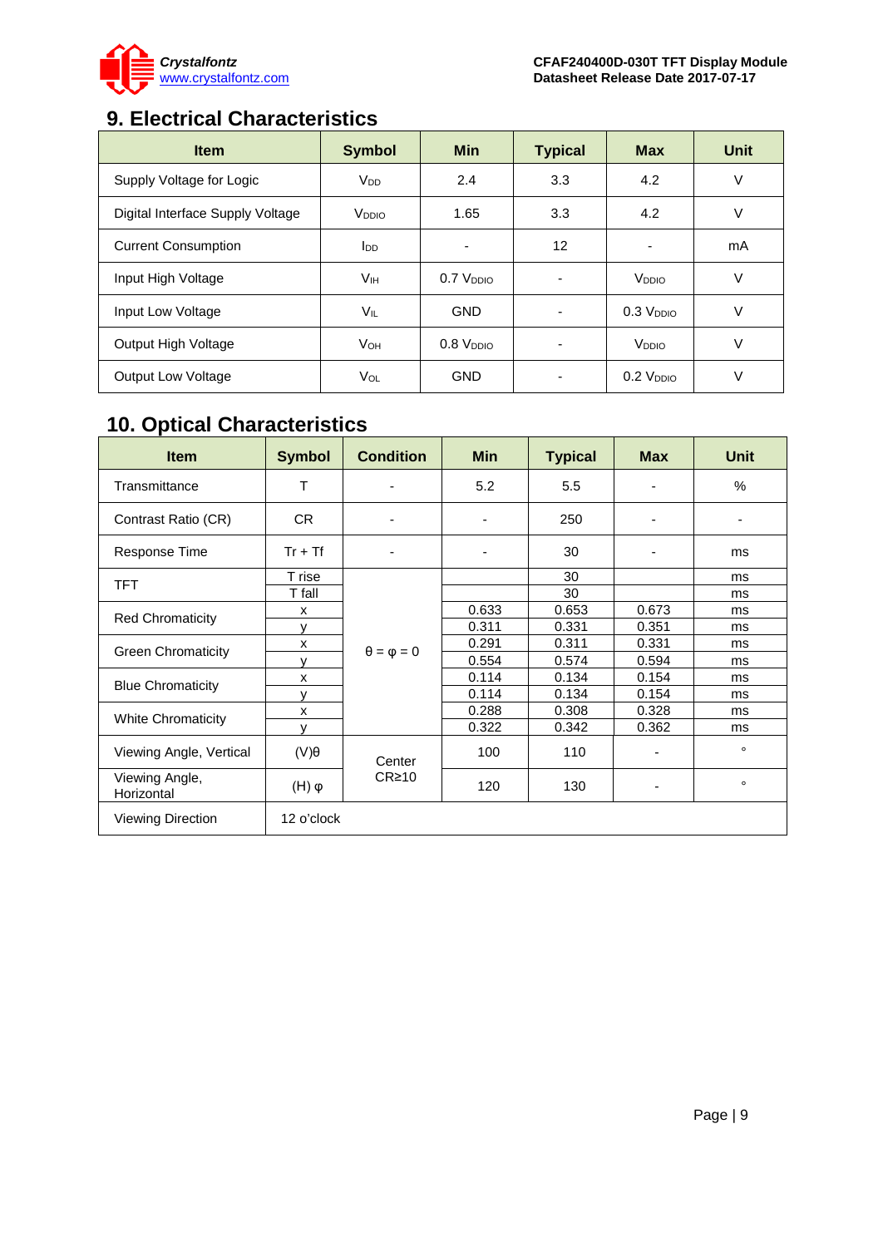

## <span id="page-8-0"></span>**9. Electrical Characteristics**

| <b>Item</b>                      | <b>Symbol</b>          | <b>Min</b>    | <b>Typical</b> | <b>Max</b>        | <b>Unit</b> |
|----------------------------------|------------------------|---------------|----------------|-------------------|-------------|
| Supply Voltage for Logic         | <b>V<sub>DD</sub></b>  | 2.4           | 3.3            | 4.2               | V           |
| Digital Interface Supply Voltage | V <sub>DDIO</sub>      | 1.65          | 3.3            | 4.2               | V           |
| <b>Current Consumption</b>       | <b>I</b> <sub>DD</sub> |               | 12             |                   | mA          |
| Input High Voltage               | Vıн                    | $0.7$ $VDDO$  |                | V <sub>DDIO</sub> | V           |
| Input Low Voltage                | VIL                    | <b>GND</b>    | ٠              | $0.3$ $VDDIO$     | V           |
| Output High Voltage              | <b>V</b> он            | $0.8$ $VDDIO$ |                | V <sub>DDIO</sub> | V           |
| <b>Output Low Voltage</b>        | VOL                    | <b>GND</b>    |                | $0.2$ $VDDIO$     | V           |

# <span id="page-8-1"></span>**10. Optical Characteristics**

| <b>Item</b>                  | <b>Symbol</b>         | <b>Condition</b>         | <b>Min</b>               | <b>Typical</b> | <b>Max</b>               | Unit                     |
|------------------------------|-----------------------|--------------------------|--------------------------|----------------|--------------------------|--------------------------|
| Transmittance                | т                     | -                        | 5.2                      | 5.5            | ۰                        | %                        |
| Contrast Ratio (CR)          | <b>CR</b>             | $\overline{\phantom{a}}$ | $\overline{\phantom{0}}$ | 250            | $\overline{\phantom{a}}$ | $\overline{\phantom{a}}$ |
| <b>Response Time</b>         | $Tr + Tf$             | $\overline{\phantom{a}}$ | $\overline{\phantom{0}}$ | 30             | -                        | ms                       |
| <b>TFT</b>                   | T rise                |                          |                          | 30             |                          | ms                       |
|                              | T fall                |                          |                          | 30             |                          | ms                       |
|                              | X                     |                          | 0.633                    | 0.653          | 0.673                    | ms                       |
| <b>Red Chromaticity</b>      | v                     |                          | 0.311                    | 0.331          | 0.351                    | ms                       |
|                              | X                     | $\theta = \varphi = 0$   | 0.291                    | 0.311          | 0.331                    | ms                       |
| <b>Green Chromaticity</b>    | v                     |                          | 0.554                    | 0.574          | 0.594                    | ms                       |
|                              | X                     |                          | 0.114                    | 0.134          | 0.154                    | ms                       |
| <b>Blue Chromaticity</b>     | v                     |                          | 0.114                    | 0.134          | 0.154                    | ms                       |
| <b>White Chromaticity</b>    | x                     |                          | 0.288                    | 0.308          | 0.328                    | ms                       |
|                              | v                     |                          | 0.322                    | 0.342          | 0.362                    | ms                       |
| Viewing Angle, Vertical      | $(V)\theta$           | Center                   | 100                      | 110            |                          | $\circ$                  |
| Viewing Angle,<br>Horizontal | $(\mathsf{H})\varphi$ | $CR \ge 10$              | 120                      | 130            |                          | $\circ$                  |
| <b>Viewing Direction</b>     | 12 o'clock            |                          |                          |                |                          |                          |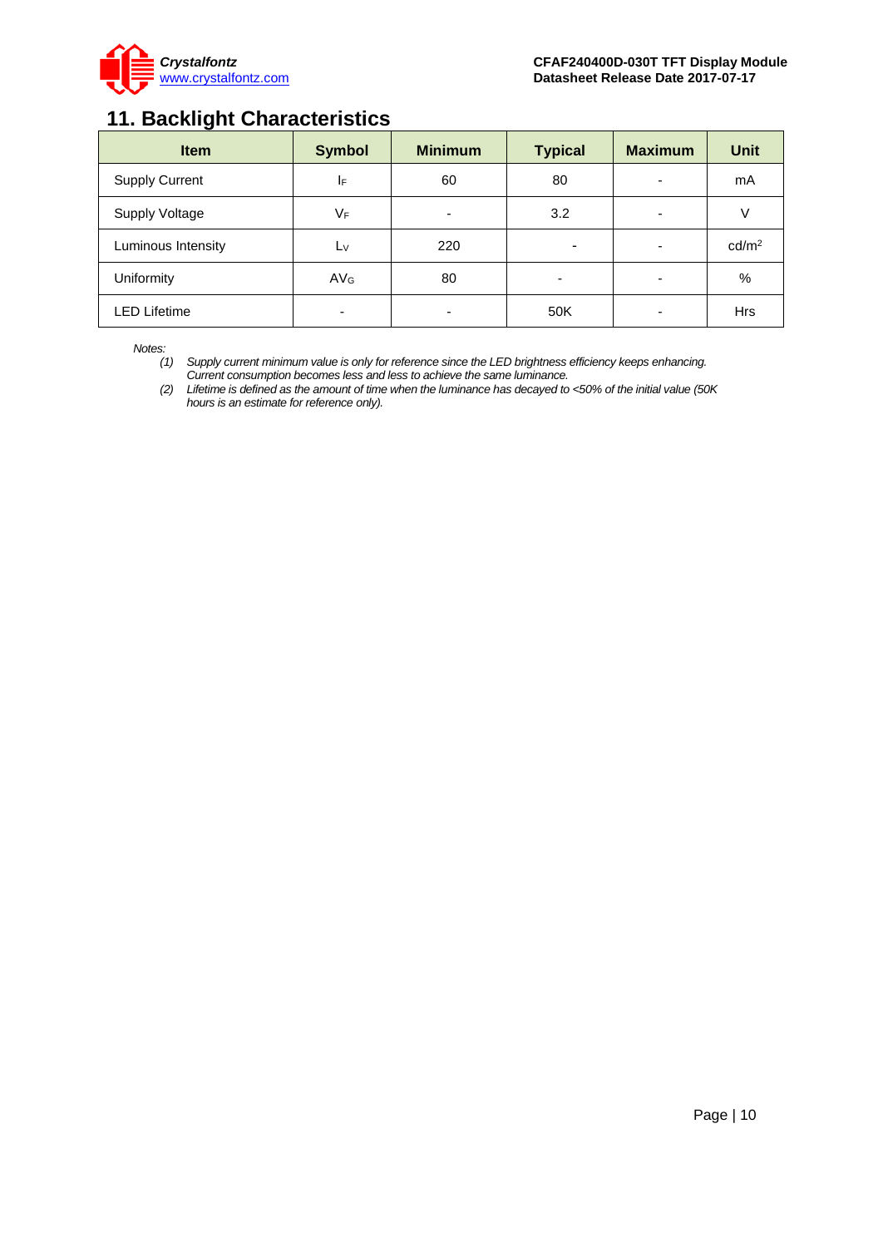

### <span id="page-9-0"></span>**11. Backlight Characteristics**

| <b>Item</b>           | <b>Symbol</b>   | <b>Minimum</b> | <b>Typical</b> | <b>Maximum</b>           | <b>Unit</b>       |
|-----------------------|-----------------|----------------|----------------|--------------------------|-------------------|
| <b>Supply Current</b> | IF              | 60             | 80             | $\overline{\phantom{0}}$ | mA                |
| <b>Supply Voltage</b> | VF              | -              | 3.2            | ۰                        | ν                 |
| Luminous Intensity    | $L_V$           | 220            |                | -                        | cd/m <sup>2</sup> |
| Uniformity            | AV <sub>G</sub> | 80             |                |                          | %                 |
| <b>LED Lifetime</b>   | ۰               | -              | 50K            |                          | <b>Hrs</b>        |

*Notes:* 

*(1) Supply current minimum value is only for reference since the LED brightness efficiency keeps enhancing. Current consumption becomes less and less to achieve the same luminance.* 

*(2) Lifetime is defined as the amount of time when the luminance has decayed to <50% of the initial value (50K hours is an estimate for reference only).*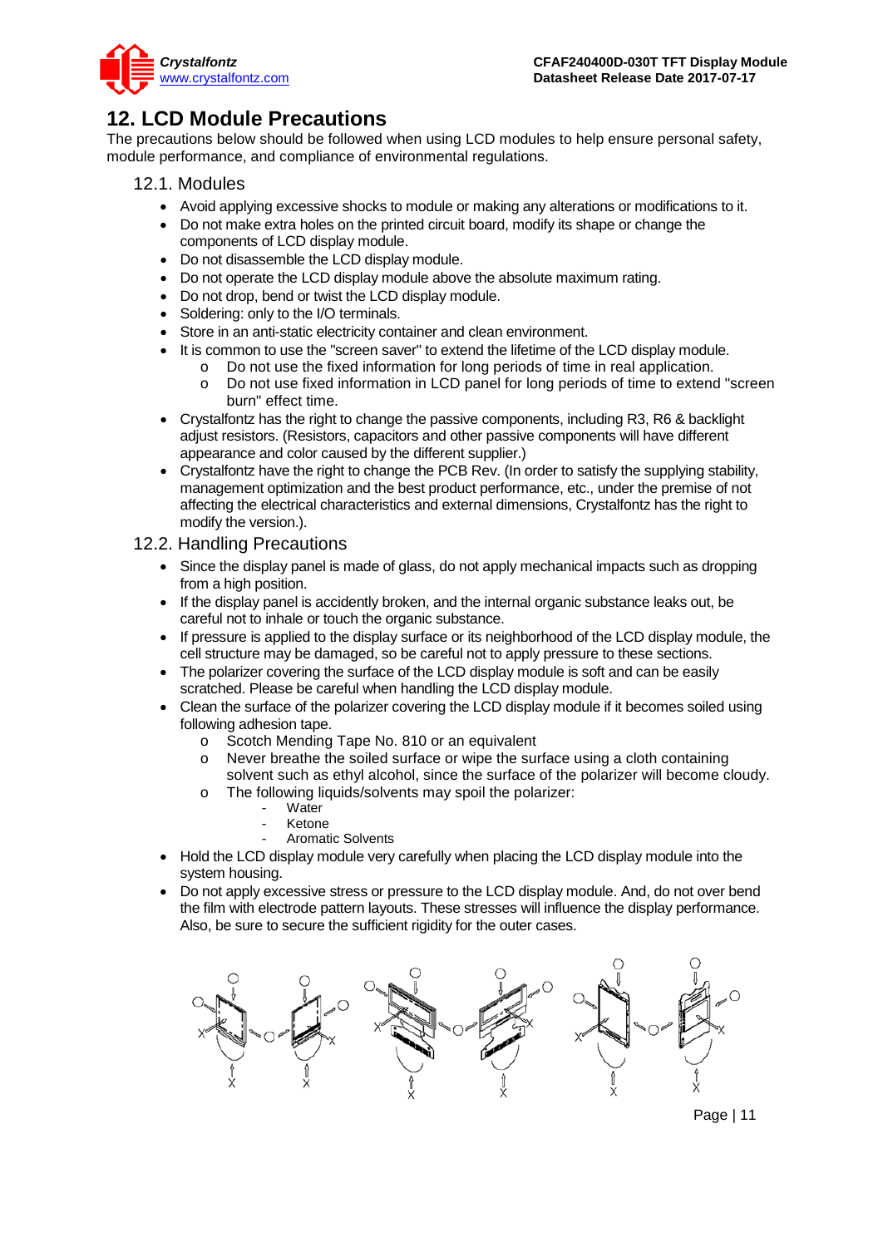

### <span id="page-10-0"></span>**12. LCD Module Precautions**

The precautions below should be followed when using LCD modules to help ensure personal safety, module performance, and compliance of environmental regulations.

- 12.1. Modules
	- Avoid applying excessive shocks to module or making any alterations or modifications to it.
	- Do not make extra holes on the printed circuit board, modify its shape or change the components of LCD display module.
	- Do not disassemble the LCD display module.
	- Do not operate the LCD display module above the absolute maximum rating.
	- Do not drop, bend or twist the LCD display module.
	- Soldering: only to the I/O terminals.
	- Store in an anti-static electricity container and clean environment.
	- It is common to use the "screen saver" to extend the lifetime of the LCD display module.
		- o Do not use the fixed information for long periods of time in real application.
		- Do not use fixed information in LCD panel for long periods of time to extend "screen" burn" effect time.
	- Crystalfontz has the right to change the passive components, including R3, R6 & backlight adjust resistors. (Resistors, capacitors and other passive components will have different appearance and color caused by the different supplier.)
	- Crystalfontz have the right to change the PCB Rev. (In order to satisfy the supplying stability, management optimization and the best product performance, etc., under the premise of not affecting the electrical characteristics and external dimensions, Crystalfontz has the right to modify the version.).

#### 12.2. Handling Precautions

- Since the display panel is made of glass, do not apply mechanical impacts such as dropping from a high position.
- If the display panel is accidently broken, and the internal organic substance leaks out, be careful not to inhale or touch the organic substance.
- If pressure is applied to the display surface or its neighborhood of the LCD display module, the cell structure may be damaged, so be careful not to apply pressure to these sections.
- The polarizer covering the surface of the LCD display module is soft and can be easily scratched. Please be careful when handling the LCD display module.
- Clean the surface of the polarizer covering the LCD display module if it becomes soiled using following adhesion tape.
	- o Scotch Mending Tape No. 810 or an equivalent
	- o Never breathe the soiled surface or wipe the surface using a cloth containing solvent such as ethyl alcohol, since the surface of the polarizer will become cloudy.
	- o The following liquids/solvents may spoil the polarizer:
		- Water
		- Ketone
		- Aromatic Solvents
- Hold the LCD display module very carefully when placing the LCD display module into the system housing.
- Do not apply excessive stress or pressure to the LCD display module. And, do not over bend the film with electrode pattern layouts. These stresses will influence the display performance. Also, be sure to secure the sufficient rigidity for the outer cases.



Page | 11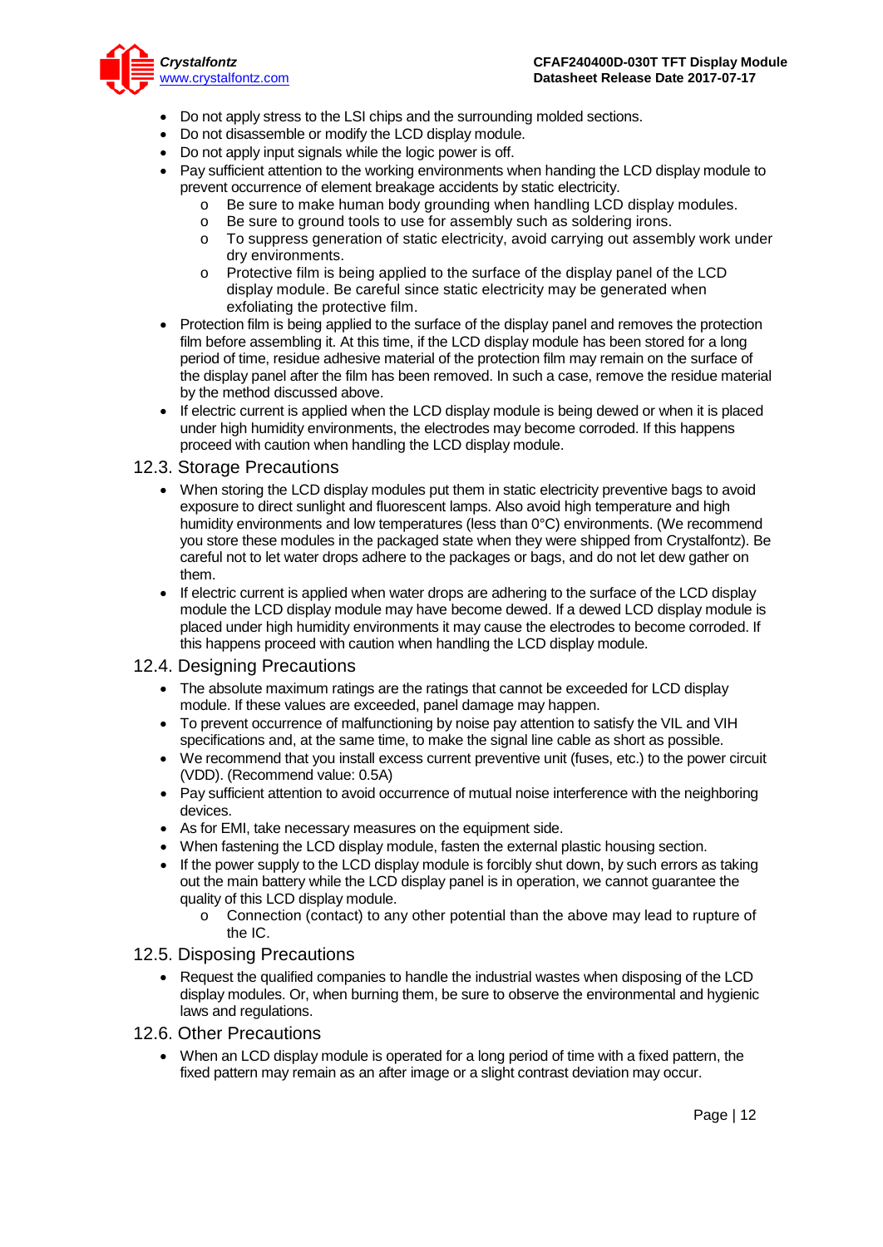

- Do not apply stress to the LSI chips and the surrounding molded sections.
- Do not disassemble or modify the LCD display module.
- Do not apply input signals while the logic power is off.
- Pay sufficient attention to the working environments when handing the LCD display module to prevent occurrence of element breakage accidents by static electricity.
	- $\circ$  Be sure to make human body grounding when handling LCD display modules.<br>  $\circ$  Be sure to ground tools to use for assembly such as soldering irons.
	- Be sure to ground tools to use for assembly such as soldering irons.
	- o To suppress generation of static electricity, avoid carrying out assembly work under dry environments.
	- o Protective film is being applied to the surface of the display panel of the LCD display module. Be careful since static electricity may be generated when exfoliating the protective film.
- Protection film is being applied to the surface of the display panel and removes the protection film before assembling it. At this time, if the LCD display module has been stored for a long period of time, residue adhesive material of the protection film may remain on the surface of the display panel after the film has been removed. In such a case, remove the residue material by the method discussed above.
- If electric current is applied when the LCD display module is being dewed or when it is placed under high humidity environments, the electrodes may become corroded. If this happens proceed with caution when handling the LCD display module.

#### 12.3. Storage Precautions

- When storing the LCD display modules put them in static electricity preventive bags to avoid exposure to direct sunlight and fluorescent lamps. Also avoid high temperature and high humidity environments and low temperatures (less than 0°C) environments. (We recommend you store these modules in the packaged state when they were shipped from Crystalfontz). Be careful not to let water drops adhere to the packages or bags, and do not let dew gather on them.
- If electric current is applied when water drops are adhering to the surface of the LCD display module the LCD display module may have become dewed. If a dewed LCD display module is placed under high humidity environments it may cause the electrodes to become corroded. If this happens proceed with caution when handling the LCD display module.

#### 12.4. Designing Precautions

- The absolute maximum ratings are the ratings that cannot be exceeded for LCD display module. If these values are exceeded, panel damage may happen.
- To prevent occurrence of malfunctioning by noise pay attention to satisfy the VIL and VIH specifications and, at the same time, to make the signal line cable as short as possible.
- We recommend that you install excess current preventive unit (fuses, etc.) to the power circuit (VDD). (Recommend value: 0.5A)
- Pay sufficient attention to avoid occurrence of mutual noise interference with the neighboring devices.
- As for EMI, take necessary measures on the equipment side.
- When fastening the LCD display module, fasten the external plastic housing section.
- If the power supply to the LCD display module is forcibly shut down, by such errors as taking out the main battery while the LCD display panel is in operation, we cannot guarantee the quality of this LCD display module.
	- o Connection (contact) to any other potential than the above may lead to rupture of the IC.

#### 12.5. Disposing Precautions

- Request the qualified companies to handle the industrial wastes when disposing of the LCD display modules. Or, when burning them, be sure to observe the environmental and hygienic laws and regulations.
- 12.6. Other Precautions
	- When an LCD display module is operated for a long period of time with a fixed pattern, the fixed pattern may remain as an after image or a slight contrast deviation may occur.